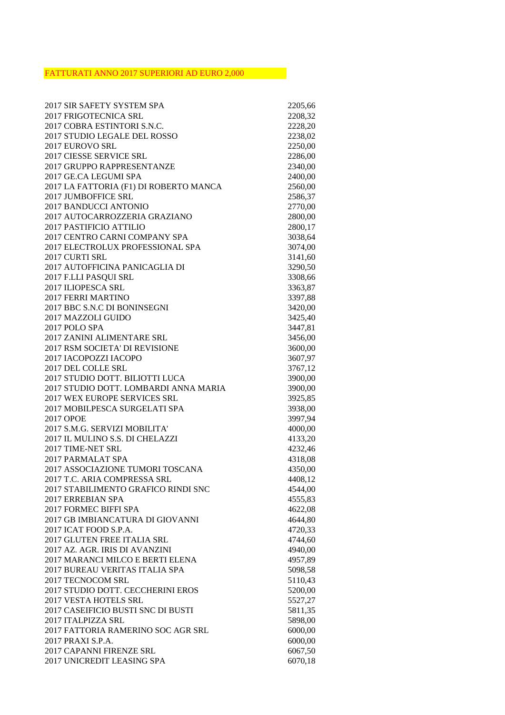## FATTURATI ANNO 2017 SUPERIORI AD EURO 2,000

| 2017 SIR SAFETY SYSTEM SPA                               | 2205,66            |
|----------------------------------------------------------|--------------------|
| 2017 FRIGOTECNICA SRL                                    | 2208,32            |
| 2017 COBRA ESTINTORI S.N.C.                              | 2228,20            |
| 2017 STUDIO LEGALE DEL ROSSO                             | 2238,02            |
| 2017 EUROVO SRL                                          | 2250,00            |
| <b>2017 CIESSE SERVICE SRL</b>                           | 2286,00            |
| 2017 GRUPPO RAPPRESENTANZE                               | 2340,00            |
| 2017 GE.CA LEGUMI SPA                                    | 2400,00            |
| 2017 LA FATTORIA (F1) DI ROBERTO MANCA                   | 2560,00            |
| <b>2017 JUMBOFFICE SRL</b>                               | 2586,37            |
| 2017 BANDUCCI ANTONIO                                    | 2770,00            |
| 2017 AUTOCARROZZERIA GRAZIANO                            | 2800,00            |
| 2017 PASTIFICIO ATTILIO                                  | 2800,17            |
| 2017 CENTRO CARNI COMPANY SPA                            | 3038,64            |
| 2017 ELECTROLUX PROFESSIONAL SPA                         | 3074,00            |
| 2017 CURTI SRL                                           | 3141,60            |
| 2017 AUTOFFICINA PANICAGLIA DI                           | 3290,50            |
| 2017 F.LLI PASQUI SRL                                    | 3308,66            |
| 2017 ILIOPESCA SRL                                       | 3363,87            |
| <b>2017 FERRI MARTINO</b>                                | 3397,88            |
| 2017 BBC S.N.C DI BONINSEGNI                             | 3420,00            |
| 2017 MAZZOLI GUIDO                                       | 3425,40            |
| 2017 POLO SPA                                            | 3447,81            |
| 2017 ZANINI ALIMENTARE SRL                               | 3456,00            |
| 2017 RSM SOCIETA' DI REVISIONE                           | 3600,00            |
| 2017 IACOPOZZI IACOPO                                    | 3607,97            |
| 2017 DEL COLLE SRL                                       | 3767,12            |
| 2017 STUDIO DOTT. BILIOTTI LUCA                          | 3900,00            |
| 2017 STUDIO DOTT. LOMBARDI ANNA MARIA                    | 3900,00            |
| 2017 WEX EUROPE SERVICES SRL                             | 3925,85            |
| 2017 MOBILPESCA SURGELATI SPA                            | 3938,00            |
| <b>2017 OPOE</b>                                         | 3997,94            |
| 2017 S.M.G. SERVIZI MOBILITA'                            | 4000,00            |
| 2017 IL MULINO S.S. DI CHELAZZI                          | 4133,20            |
| 2017 TIME-NET SRL                                        | 4232,46            |
| 2017 PARMALAT SPA                                        | 4318,08            |
| 2017 ASSOCIAZIONE TUMORI TOSCANA                         | 4350,00            |
| 2017 T.C. ARIA COMPRESSA SRL                             | 4408,12            |
| 2017 STABILIMENTO GRAFICO RINDI SNC                      | 4544,00            |
| 2017 ERREBIAN SPA                                        | 4555,83            |
| 2017 FORMEC BIFFI SPA                                    | 4622,08            |
| 2017 GB IMBIANCATURA DI GIOVANNI                         | 4644,80            |
| 2017 ICAT FOOD S.P.A.                                    | 4720,33            |
| 2017 GLUTEN FREE ITALIA SRL                              | 4744,60            |
| 2017 AZ. AGR. IRIS DI AVANZINI                           | 4940,00            |
| 2017 MARANCI MILCO E BERTI ELENA                         | 4957,89            |
| 2017 BUREAU VERITAS ITALIA SPA                           | 5098,58            |
| 2017 TECNOCOM SRL                                        | 5110,43            |
| 2017 STUDIO DOTT. CECCHERINI EROS                        | 5200,00            |
| 2017 VESTA HOTELS SRL                                    | 5527,27            |
|                                                          |                    |
| 2017 CASEIFICIO BUSTI SNC DI BUSTI<br>2017 ITALPIZZA SRL | 5811,35<br>5898,00 |
|                                                          |                    |
| 2017 FATTORIA RAMERINO SOC AGR SRL                       | 6000,00            |
| 2017 PRAXI S.P.A.                                        | 6000,00            |
| 2017 CAPANNI FIRENZE SRL                                 | 6067,50            |
| 2017 UNICREDIT LEASING SPA                               | 6070,18            |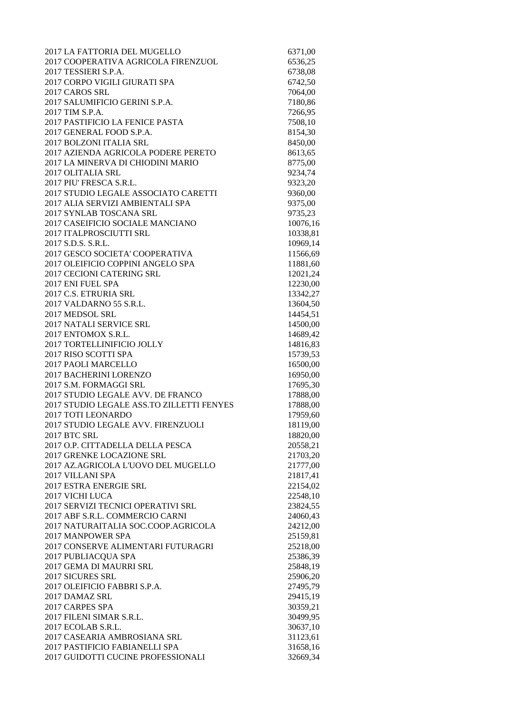| 2017 LA FATTORIA DEL MUGELLO                      | 6371,00              |
|---------------------------------------------------|----------------------|
| 2017 COOPERATIVA AGRICOLA FIRENZUOL               | 6536,25              |
| 2017 TESSIERI S.P.A.                              | 6738,08              |
| 2017 CORPO VIGILI GIURATI SPA                     | 6742,50              |
| 2017 CAROS SRL                                    | 7064,00              |
| 2017 SALUMIFICIO GERINI S.P.A.                    | 7180,86              |
| 2017 TIM S.P.A.                                   | 7266,95              |
| 2017 PASTIFICIO LA FENICE PASTA                   | 7508,10              |
| 2017 GENERAL FOOD S.P.A.                          | 8154,30              |
| 2017 BOLZONI ITALIA SRL                           | 8450,00              |
| 2017 AZIENDA AGRICOLA PODERE PERETO               | 8613,65              |
| 2017 LA MINERVA DI CHIODINI MARIO                 | 8775,00              |
| 2017 OLITALIA SRL                                 | 9234,74              |
| 2017 PIU' FRESCA S.R.L.                           | 9323,20              |
| 2017 STUDIO LEGALE ASSOCIATO CARETTI              | 9360,00              |
| 2017 ALIA SERVIZI AMBIENTALI SPA                  | 9375,00              |
| 2017 SYNLAB TOSCANA SRL                           | 9735,23              |
| 2017 CASEIFICIO SOCIALE MANCIANO                  | 10076,16             |
| 2017 ITALPROSCIUTTI SRL                           | 10338,81             |
| 2017 S.D.S. S.R.L.                                | 10969,14             |
| 2017 GESCO SOCIETA' COOPERATIVA                   | 11566,69             |
| 2017 OLEIFICIO COPPINI ANGELO SPA                 | 11881,60             |
| 2017 CECIONI CATERING SRL                         | 12021,24             |
| 2017 ENI FUEL SPA                                 | 12230,00             |
| 2017 C.S. ETRURIA SRL                             | 13342,27             |
| 2017 VALDARNO 55 S.R.L.                           | 13604,50             |
| 2017 MEDSOL SRL                                   | 14454,51             |
| <b>2017 NATALI SERVICE SRL</b>                    | 14500,00             |
| 2017 ENTOMOX S.R.L.<br>2017 TORTELLINIFICIO JOLLY | 14689,42<br>14816,83 |
| 2017 RISO SCOTTI SPA                              | 15739,53             |
| 2017 PAOLI MARCELLO                               | 16500,00             |
| 2017 BACHERINI LORENZO                            | 16950,00             |
| 2017 S.M. FORMAGGI SRL                            | 17695,30             |
| 2017 STUDIO LEGALE AVV. DE FRANCO                 | 17888,00             |
| 2017 STUDIO LEGALE ASS.TO ZILLETTI FENYES         | 17888,00             |
| 2017 TOTI LEONARDO                                | 17959,60             |
| 2017 STUDIO LEGALE AVV. FIRENZUOLI                | 18119,00             |
| <b>2017 BTC SRL</b>                               | 18820,00             |
| 2017 O.P. CITTADELLA DELLA PESCA                  | 20558,21             |
| 2017 GRENKE LOCAZIONE SRL                         | 21703,20             |
| 2017 AZ.AGRICOLA L'UOVO DEL MUGELLO               | 21777,00             |
| 2017 VILLANI SPA                                  | 21817,41             |
| 2017 ESTRA ENERGIE SRL                            | 22154,02             |
| 2017 VICHI LUCA                                   | 22548,10             |
| 2017 SERVIZI TECNICI OPERATIVI SRL                | 23824,55             |
| 2017 ABF S.R.L. COMMERCIO CARNI                   | 24060,43             |
| 2017 NATURAITALIA SOC.COOP.AGRICOLA               | 24212,00             |
| 2017 MANPOWER SPA                                 | 25159,81             |
| 2017 CONSERVE ALIMENTARI FUTURAGRI                | 25218,00             |
| 2017 PUBLIACQUA SPA                               | 25386,39             |
| 2017 GEMA DI MAURRI SRL                           | 25848,19             |
| 2017 SICURES SRL                                  | 25906,20             |
| 2017 OLEIFICIO FABBRI S.P.A.                      | 27495,79             |
| 2017 DAMAZ SRL                                    | 29415,19             |
| 2017 CARPES SPA<br>2017 FILENI SIMAR S.R.L.       | 30359,21<br>30499,95 |
| 2017 ECOLAB S.R.L.                                | 30637,10             |
| 2017 CASEARIA AMBROSIANA SRL                      | 31123,61             |
| 2017 PASTIFICIO FABIANELLI SPA                    | 31658,16             |
| 2017 GUIDOTTI CUCINE PROFESSIONALI                | 32669,34             |
|                                                   |                      |